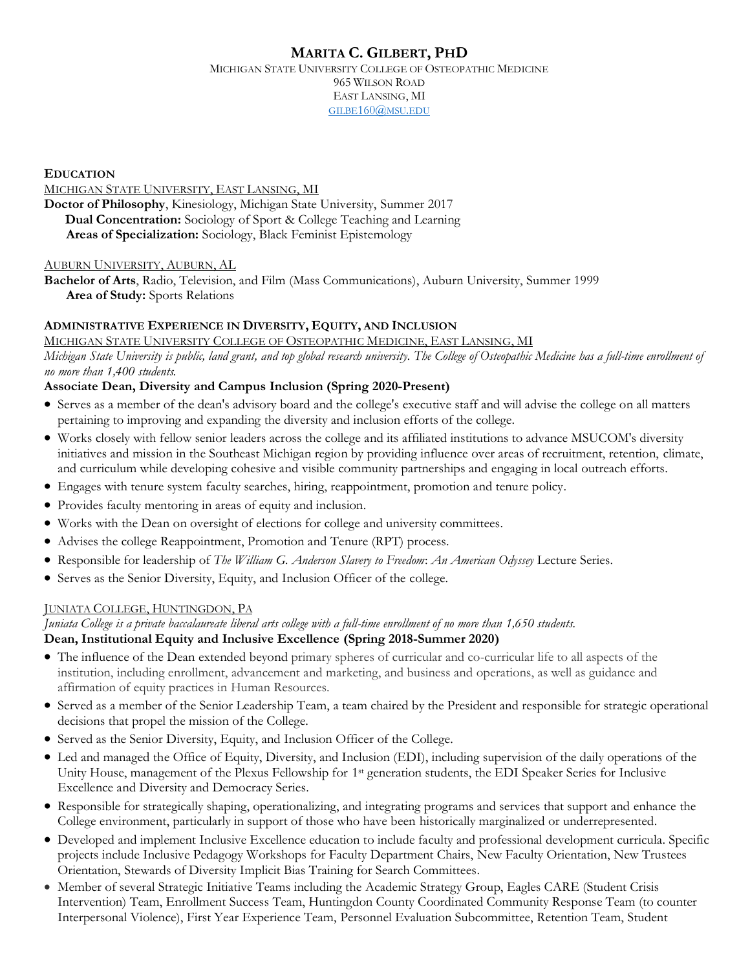# **MARITA C. GILBERT, PHD**

MICHIGAN STATE UNIVERSITY COLLEGE OF OSTEOPATHIC MEDICINE 965 WILSON ROAD EAST LANSING, MI GILBE[160@](mailto:gilbe160@msu.edu)MSU.EDU

**EDUCATION**

MICHIGAN STATE UNIVERSITY, EAST LANSING, MI

**Doctor of Philosophy**, Kinesiology, Michigan State University, Summer 2017 **Dual Concentration:** Sociology of Sport & College Teaching and Learning **Areas of Specialization:** Sociology, Black Feminist Epistemology

#### AUBURN UNIVERSITY, AUBURN, AL

**Bachelor of Arts**, Radio, Television, and Film (Mass Communications), Auburn University, Summer 1999 **Area of Study:** Sports Relations

## **ADMINISTRATIVE EXPERIENCE IN DIVERSITY, EQUITY, AND INCLUSION**

MICHIGAN STATE UNIVERSITY COLLEGE OF OSTEOPATHIC MEDICINE, EAST LANSING, MI *Michigan State University is public, land grant, and top global research university. The College of Osteopathic Medicine has a full-time enrollment of no more than 1,400 students.*

#### **Associate Dean, Diversity and Campus Inclusion (Spring 2020-Present)**

- Serves as a member of the dean's advisory board and the college's executive staff and will advise the college on all matters pertaining to improving and expanding the diversity and inclusion efforts of the college.
- Works closely with fellow senior leaders across the college and its affiliated institutions to advance MSUCOM's diversity initiatives and mission in the Southeast Michigan region by providing influence over areas of recruitment, retention, climate, and curriculum while developing cohesive and visible community partnerships and engaging in local outreach efforts.
- Engages with tenure system faculty searches, hiring, reappointment, promotion and tenure policy.
- Provides faculty mentoring in areas of equity and inclusion.
- Works with the Dean on oversight of elections for college and university committees.
- Advises the college Reappointment, Promotion and Tenure (RPT) process.
- Responsible for leadership of *The William G. Anderson Slavery to Freedom*: *An American Odyssey* Lecture Series.
- Serves as the Senior Diversity, Equity, and Inclusion Officer of the college.

#### JUNIATA COLLEGE, HUNTINGDON, PA

*Juniata College is a private baccalaureate liberal arts college with a full-time enrollment of no more than 1,650 students.*

## **Dean, Institutional Equity and Inclusive Excellence (Spring 2018-Summer 2020)**

- The influence of the Dean extended beyond primary spheres of curricular and co-curricular life to all aspects of the institution, including enrollment, advancement and marketing, and business and operations, as well as guidance and affirmation of equity practices in Human Resources.
- Served as a member of the Senior Leadership Team, a team chaired by the President and responsible for strategic operational decisions that propel the mission of the College.
- Served as the Senior Diversity, Equity, and Inclusion Officer of the College.
- Led and managed the Office of Equity, Diversity, and Inclusion (EDI), including supervision of the daily operations of the Unity House, management of the Plexus Fellowship for 1<sup>st</sup> generation students, the EDI Speaker Series for Inclusive Excellence and Diversity and Democracy Series.
- Responsible for strategically shaping, operationalizing, and integrating programs and services that support and enhance the College environment, particularly in support of those who have been historically marginalized or underrepresented.
- Developed and implement Inclusive Excellence education to include faculty and professional development curricula. Specific projects include Inclusive Pedagogy Workshops for Faculty Department Chairs, New Faculty Orientation, New Trustees Orientation, Stewards of Diversity Implicit Bias Training for Search Committees.
- Member of several Strategic Initiative Teams including the Academic Strategy Group, Eagles CARE (Student Crisis Intervention) Team, Enrollment Success Team, Huntingdon County Coordinated Community Response Team (to counter Interpersonal Violence), First Year Experience Team, Personnel Evaluation Subcommittee, Retention Team, Student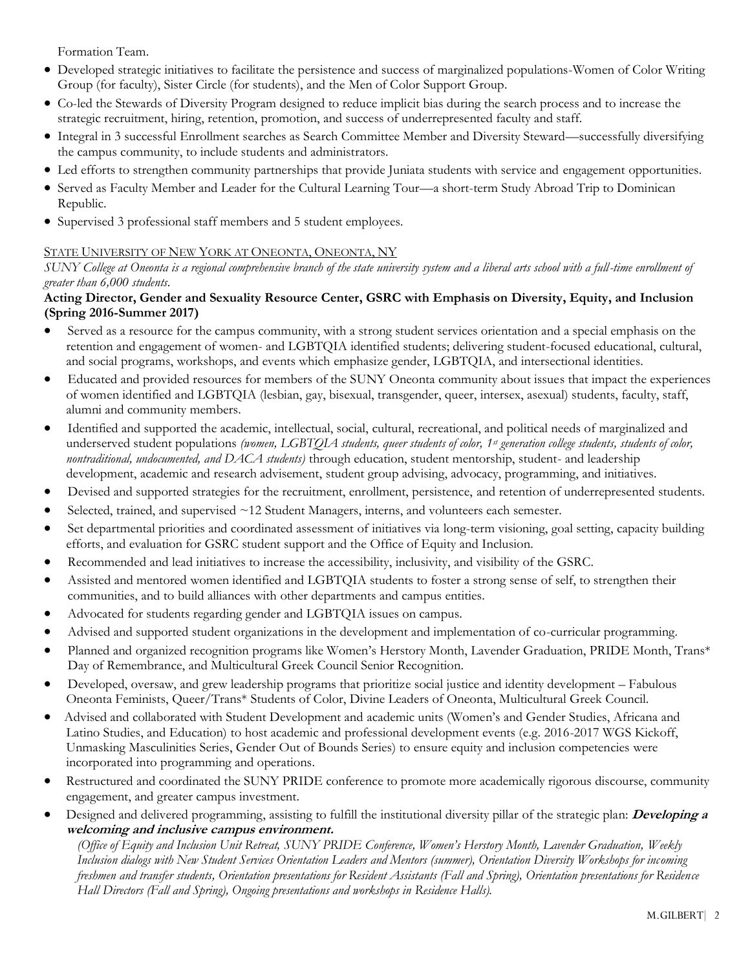Formation Team.

- Developed strategic initiatives to facilitate the persistence and success of marginalized populations-Women of Color Writing Group (for faculty), Sister Circle (for students), and the Men of Color Support Group.
- Co-led the Stewards of Diversity Program designed to reduce implicit bias during the search process and to increase the strategic recruitment, hiring, retention, promotion, and success of underrepresented faculty and staff.
- Integral in 3 successful Enrollment searches as Search Committee Member and Diversity Steward—successfully diversifying the campus community, to include students and administrators.
- Led efforts to strengthen community partnerships that provide Juniata students with service and engagement opportunities.
- Served as Faculty Member and Leader for the Cultural Learning Tour—a short-term Study Abroad Trip to Dominican Republic.
- Supervised 3 professional staff members and 5 student employees.

## STATE UNIVERSITY OF NEW YORK AT ONEONTA, ONEONTA, NY

*SUNY College at Oneonta is a regional comprehensive branch of the state university system and a liberal arts school with a full-time enrollment of greater than 6,000 students.*

#### **Acting Director, Gender and Sexuality Resource Center, GSRC with Emphasis on Diversity, Equity, and Inclusion (Spring 2016-Summer 2017)**

- Served as a resource for the campus community, with a strong student services orientation and a special emphasis on the retention and engagement of women- and LGBTQIA identified students; delivering student-focused educational, cultural, and social programs, workshops, and events which emphasize gender, LGBTQIA, and intersectional identities.
- Educated and provided resources for members of the SUNY Oneonta community about issues that impact the experiences of women identified and LGBTQIA (lesbian, gay, bisexual, transgender, queer, intersex, asexual) students, faculty, staff, alumni and community members.
- Identified and supported the academic, intellectual, social, cultural, recreational, and political needs of marginalized and underserved student populations *(women, LGBTQIA students, queer students of color, 1st generation college students, students of color, nontraditional, undocumented, and DACA students)* through education, student mentorship, student- and leadership development, academic and research advisement, student group advising, advocacy, programming, and initiatives.
- Devised and supported strategies for the recruitment, enrollment, persistence, and retention of underrepresented students.
- Selected, trained, and supervised ~12 Student Managers, interns, and volunteers each semester.
- Set departmental priorities and coordinated assessment of initiatives via long-term visioning, goal setting, capacity building efforts, and evaluation for GSRC student support and the Office of Equity and Inclusion.
- Recommended and lead initiatives to increase the accessibility, inclusivity, and visibility of the GSRC.
- Assisted and mentored women identified and LGBTQIA students to foster a strong sense of self, to strengthen their communities, and to build alliances with other departments and campus entities.
- Advocated for students regarding gender and LGBTQIA issues on campus.
- Advised and supported student organizations in the development and implementation of co-curricular programming.
- Planned and organized recognition programs like Women's Herstory Month, Lavender Graduation, PRIDE Month, Trans\* Day of Remembrance, and Multicultural Greek Council Senior Recognition.
- Developed, oversaw, and grew leadership programs that prioritize social justice and identity development Fabulous Oneonta Feminists, Queer/Trans\* Students of Color, Divine Leaders of Oneonta, Multicultural Greek Council.
- Advised and collaborated with Student Development and academic units (Women's and Gender Studies, Africana and Latino Studies, and Education) to host academic and professional development events (e.g. 2016-2017 WGS Kickoff, Unmasking Masculinities Series, Gender Out of Bounds Series) to ensure equity and inclusion competencies were incorporated into programming and operations.
- Restructured and coordinated the SUNY PRIDE conference to promote more academically rigorous discourse, community engagement, and greater campus investment.
- Designed and delivered programming, assisting to fulfill the institutional diversity pillar of the strategic plan: **Developing a welcoming and inclusive campus environment.**

*(Office of Equity and Inclusion Unit Retreat, SUNY PRIDE Conference, Women's Herstory Month, Lavender Graduation, Weekly Inclusion dialogs with New Student Services Orientation Leaders and Mentors (summer), Orientation Diversity Workshops for incoming freshmen and transfer students, Orientation presentations for Resident Assistants (Fall and Spring), Orientation presentations for Residence Hall Directors (Fall and Spring), Ongoing presentations and workshops in Residence Halls).*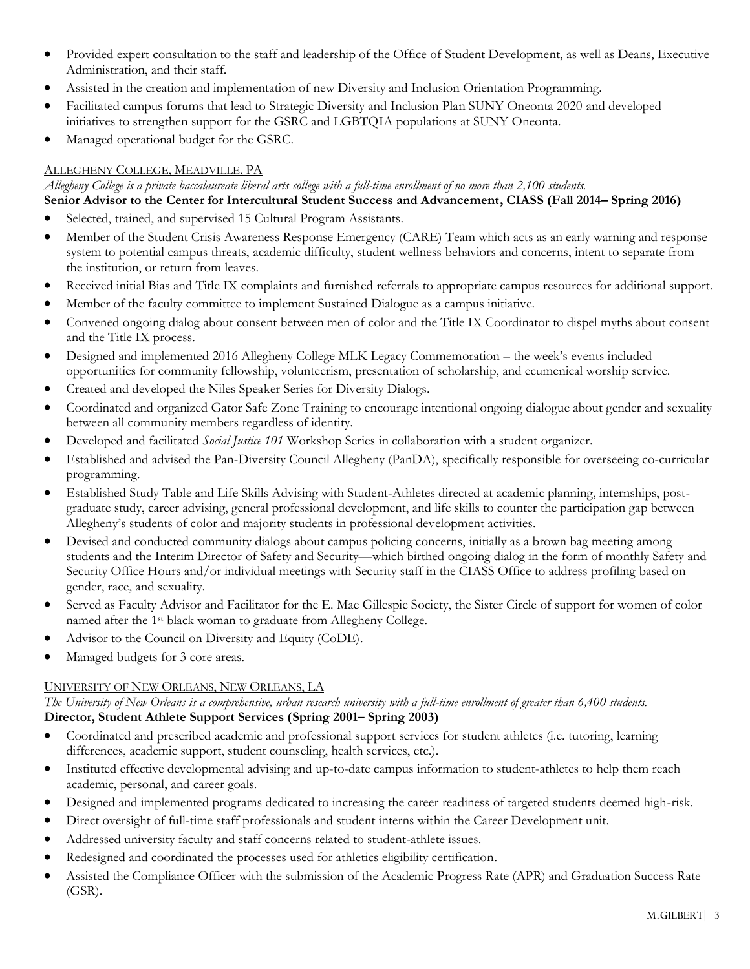- Provided expert consultation to the staff and leadership of the Office of Student Development, as well as Deans, Executive Administration, and their staff.
- Assisted in the creation and implementation of new Diversity and Inclusion Orientation Programming.
- Facilitated campus forums that lead to Strategic Diversity and Inclusion Plan SUNY Oneonta 2020 and developed initiatives to strengthen support for the GSRC and LGBTQIA populations at SUNY Oneonta.
- Managed operational budget for the GSRC.

#### ALLEGHENY COLLEGE, MEADVILLE, PA

*Allegheny College is a private baccalaureate liberal arts college with a full-time enrollment of no more than 2,100 students.* **Senior Advisor to the Center for Intercultural Student Success and Advancement, CIASS (Fall 2014– Spring 2016)**

- Selected, trained, and supervised 15 Cultural Program Assistants.
- Member of the Student Crisis Awareness Response Emergency (CARE) Team which acts as an early warning and response system to potential campus threats, academic difficulty, student wellness behaviors and concerns, intent to separate from the institution, or return from leaves.
- Received initial Bias and Title IX complaints and furnished referrals to appropriate campus resources for additional support.
- Member of the faculty committee to implement Sustained Dialogue as a campus initiative.
- Convened ongoing dialog about consent between men of color and the Title IX Coordinator to dispel myths about consent and the Title IX process.
- Designed and implemented 2016 Allegheny College MLK Legacy Commemoration the week's events included opportunities for community fellowship, volunteerism, presentation of scholarship, and ecumenical worship service.
- Created and developed the Niles Speaker Series for Diversity Dialogs.
- Coordinated and organized Gator Safe Zone Training to encourage intentional ongoing dialogue about gender and sexuality between all community members regardless of identity.
- Developed and facilitated *Social Justice 101* Workshop Series in collaboration with a student organizer.
- Established and advised the Pan-Diversity Council Allegheny (PanDA), specifically responsible for overseeing co-curricular programming.
- Established Study Table and Life Skills Advising with Student-Athletes directed at academic planning, internships, postgraduate study, career advising, general professional development, and life skills to counter the participation gap between Allegheny's students of color and majority students in professional development activities.
- Devised and conducted community dialogs about campus policing concerns, initially as a brown bag meeting among students and the Interim Director of Safety and Security—which birthed ongoing dialog in the form of monthly Safety and Security Office Hours and/or individual meetings with Security staff in the CIASS Office to address profiling based on gender, race, and sexuality.
- Served as Faculty Advisor and Facilitator for the E. Mae Gillespie Society, the Sister Circle of support for women of color named after the 1st black woman to graduate from Allegheny College.
- Advisor to the Council on Diversity and Equity (CoDE).
- Managed budgets for 3 core areas.

#### UNIVERSITY OF NEW ORLEANS, NEW ORLEANS, LA

*The University of New Orleans is a comprehensive, urban research university with a full-time enrollment of greater than 6,400 students.* **Director, Student Athlete Support Services (Spring 2001– Spring 2003)**

- Coordinated and prescribed academic and professional support services for student athletes (i.e. tutoring, learning differences, academic support, student counseling, health services, etc.).
- Instituted effective developmental advising and up-to-date campus information to student-athletes to help them reach academic, personal, and career goals.
- Designed and implemented programs dedicated to increasing the career readiness of targeted students deemed high-risk.
- Direct oversight of full-time staff professionals and student interns within the Career Development unit.
- Addressed university faculty and staff concerns related to student-athlete issues.
- Redesigned and coordinated the processes used for athletics eligibility certification.
- Assisted the Compliance Officer with the submission of the Academic Progress Rate (APR) and Graduation Success Rate (GSR).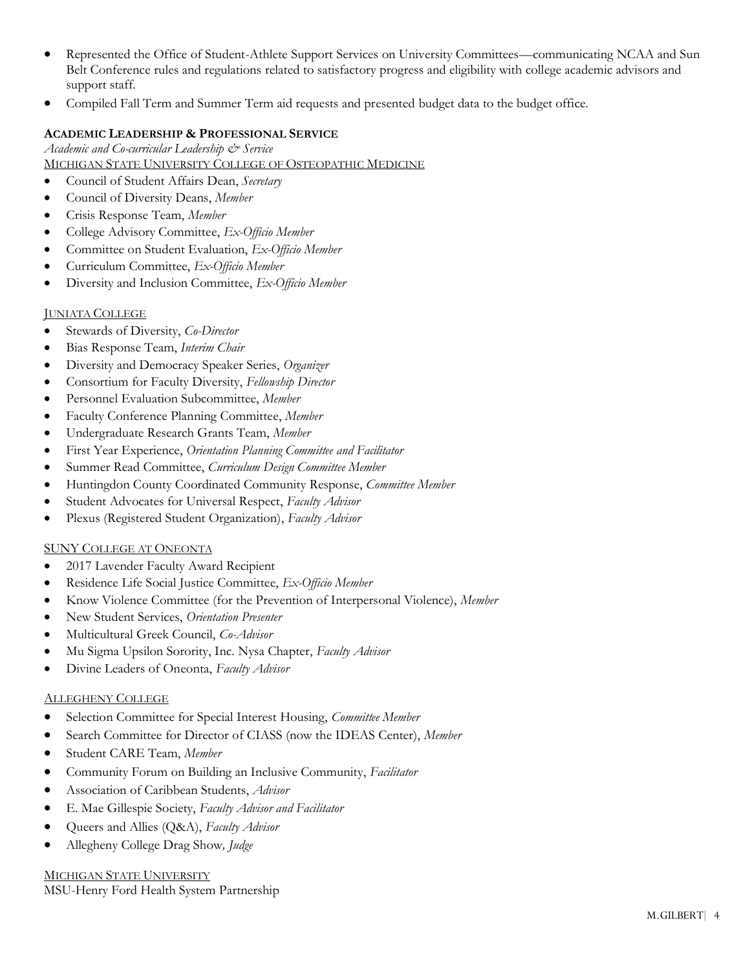- Represented the Office of Student-Athlete Support Services on University Committees—communicating NCAA and Sun Belt Conference rules and regulations related to satisfactory progress and eligibility with college academic advisors and support staff.
- Compiled Fall Term and Summer Term aid requests and presented budget data to the budget office.

### **ACADEMIC LEADERSHIP & PROFESSIONAL SERVICE**

*Academic and Co-curricular Leadership & Service*  MICHIGAN STATE UNIVERSITY COLLEGE OF OSTEOPATHIC MEDICINE

- Council of Student Affairs Dean, *Secretary*
- Council of Diversity Deans, *Member*
- Crisis Response Team, *Member*
- College Advisory Committee, *Ex-Officio Member*
- Committee on Student Evaluation, *Ex-Officio Member*
- Curriculum Committee, *Ex-Officio Member*
- Diversity and Inclusion Committee, *Ex-Officio Member*

#### JUNIATA COLLEGE

- Stewards of Diversity, *Co-Director*
- Bias Response Team, *Interim Chair*
- Diversity and Democracy Speaker Series, *Organizer*
- Consortium for Faculty Diversity, *Fellowship Director*
- Personnel Evaluation Subcommittee, *Member*
- Faculty Conference Planning Committee, *Member*
- Undergraduate Research Grants Team, *Member*
- First Year Experience, *Orientation Planning Committee and Facilitator*
- Summer Read Committee, *Curriculum Design Committee Member*
- Huntingdon County Coordinated Community Response, *Committee Member*
- Student Advocates for Universal Respect, *Faculty Advisor*
- Plexus (Registered Student Organization), *Faculty Advisor*

#### SUNY COLLEGE AT ONEONTA

- 2017 Lavender Faculty Award Recipient
- Residence Life Social Justice Committee, *Ex-Officio Member*
- Know Violence Committee (for the Prevention of Interpersonal Violence), *Member*
- New Student Services, *Orientation Presenter*
- Multicultural Greek Council, *Co-Advisor*
- Mu Sigma Upsilon Sorority, Inc. Nysa Chapter, *Faculty Advisor*
- Divine Leaders of Oneonta, *Faculty Advisor*

#### ALLEGHENY COLLEGE

- Selection Committee for Special Interest Housing, *Committee Member*
- Search Committee for Director of CIASS (now the IDEAS Center), *Member*
- Student CARE Team, *Member*
- Community Forum on Building an Inclusive Community, *Facilitator*
- Association of Caribbean Students, *Advisor*
- E. Mae Gillespie Society, *Faculty Advisor and Facilitator*
- Queers and Allies (Q&A), *Faculty Advisor*
- Allegheny College Drag Show*, Judge*

#### MICHIGAN STATE UNIVERSITY

MSU-Henry Ford Health System Partnership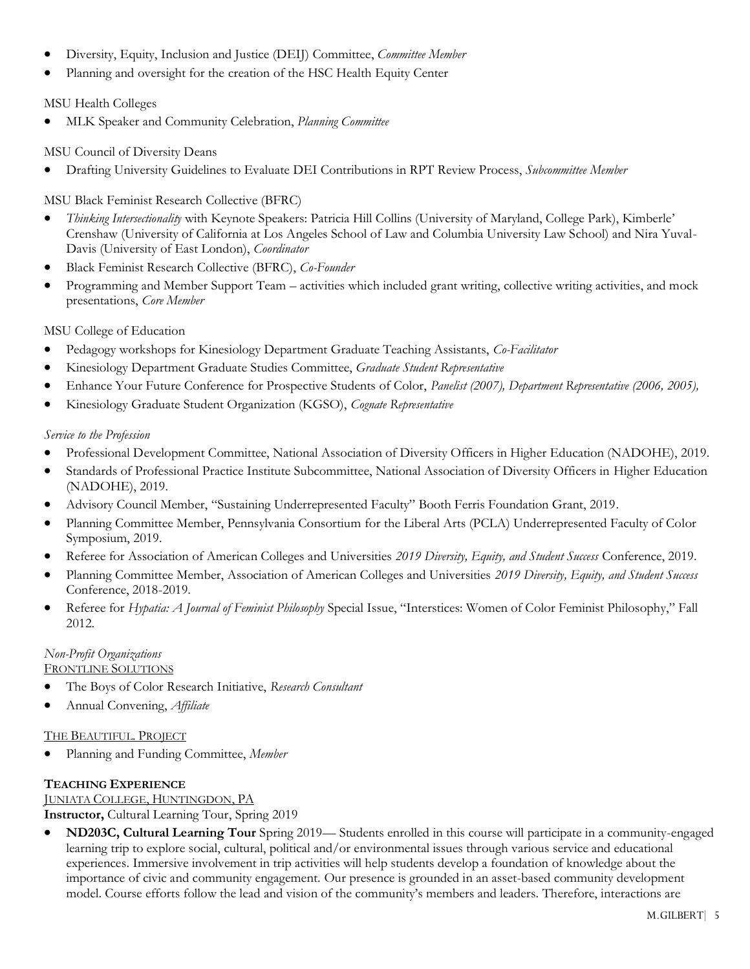- Diversity, Equity, Inclusion and Justice (DEIJ) Committee, *Committee Member*
- Planning and oversight for the creation of the HSC Health Equity Center

## MSU Health Colleges

• MLK Speaker and Community Celebration, *Planning Committee*

### MSU Council of Diversity Deans

• Drafting University Guidelines to Evaluate DEI Contributions in RPT Review Process, *Subcommittee Member*

## MSU Black Feminist Research Collective (BFRC)

- *Thinking Intersectionality* with Keynote Speakers: Patricia Hill Collins (University of Maryland, College Park), Kimberle' Crenshaw (University of California at Los Angeles School of Law and Columbia University Law School) and Nira Yuval-Davis (University of East London), *Coordinator*
- Black Feminist Research Collective (BFRC), *Co-Founder*
- Programming and Member Support Team activities which included grant writing, collective writing activities, and mock presentations, *Core Member*

## MSU College of Education

- Pedagogy workshops for Kinesiology Department Graduate Teaching Assistants, *Co-Facilitator*
- Kinesiology Department Graduate Studies Committee, *Graduate Student Representative*
- Enhance Your Future Conference for Prospective Students of Color, *Panelist (2007), Department Representative (2006, 2005),*
- Kinesiology Graduate Student Organization (KGSO), *Cognate Representative*

#### *Service to the Profession*

- Professional Development Committee, National Association of Diversity Officers in Higher Education (NADOHE), 2019.
- Standards of Professional Practice Institute Subcommittee, National Association of Diversity Officers in Higher Education (NADOHE), 2019.
- Advisory Council Member, "Sustaining Underrepresented Faculty" Booth Ferris Foundation Grant, 2019.
- Planning Committee Member, Pennsylvania Consortium for the Liberal Arts (PCLA) Underrepresented Faculty of Color Symposium, 2019.
- Referee for Association of American Colleges and Universities *2019 Diversity, Equity, and Student Success* Conference, 2019.
- Planning Committee Member, Association of American Colleges and Universities *2019 Diversity, Equity, and Student Success* Conference, 2018-2019.
- Referee for *Hypatia: A Journal of Feminist Philosophy* Special Issue, "Interstices: Women of Color Feminist Philosophy," Fall 2012.

## *Non-Profit Organizations*

FRONTLINE SOLUTIONS

- The Boys of Color Research Initiative, *Research Consultant*
- Annual Convening, *Affiliate*

#### THE BEAUTIFUL. PROJECT

• Planning and Funding Committee, *Member*

#### **TEACHING EXPERIENCE**

## JUNIATA COLLEGE, HUNTINGDON, PA

**Instructor,** Cultural Learning Tour, Spring 2019

• **ND203C, Cultural Learning Tour** Spring 2019— Students enrolled in this course will participate in a community-engaged learning trip to explore social, cultural, political and/or environmental issues through various service and educational experiences. Immersive involvement in trip activities will help students develop a foundation of knowledge about the importance of civic and community engagement. Our presence is grounded in an asset-based community development model. Course efforts follow the lead and vision of the community's members and leaders. Therefore, interactions are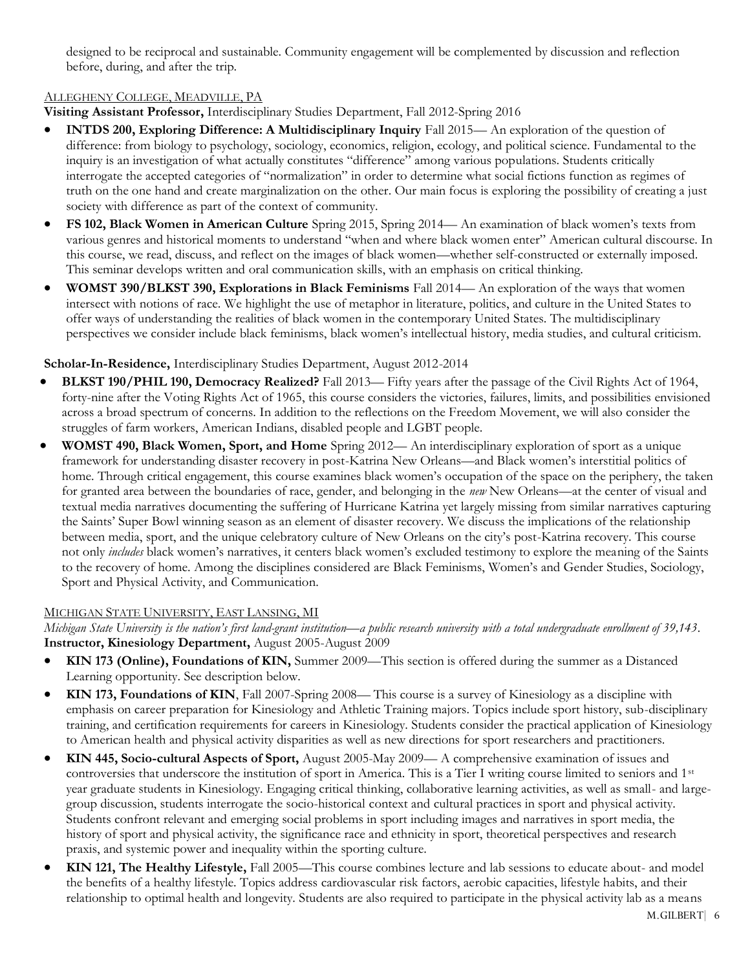designed to be reciprocal and sustainable. Community engagement will be complemented by discussion and reflection before, during, and after the trip.

## ALLEGHENY COLLEGE, MEADVILLE, PA

**Visiting Assistant Professor,** Interdisciplinary Studies Department, Fall 2012-Spring 2016

- **INTDS 200, Exploring Difference: A Multidisciplinary Inquiry** Fall 2015— An exploration of the question of difference: from biology to psychology, sociology, economics, religion, ecology, and political science. Fundamental to the inquiry is an investigation of what actually constitutes "difference" among various populations. Students critically interrogate the accepted categories of "normalization" in order to determine what social fictions function as regimes of truth on the one hand and create marginalization on the other. Our main focus is exploring the possibility of creating a just society with difference as part of the context of community.
- **FS 102, Black Women in American Culture** Spring 2015, Spring 2014— An examination of black women's texts from various genres and historical moments to understand "when and where black women enter" American cultural discourse. In this course, we read, discuss, and reflect on the images of black women—whether self-constructed or externally imposed. This seminar develops written and oral communication skills, with an emphasis on critical thinking.
- **WOMST 390/BLKST 390, Explorations in Black Feminisms** Fall 2014— An exploration of the ways that women intersect with notions of race. We highlight the use of metaphor in literature, politics, and culture in the United States to offer ways of understanding the realities of black women in the contemporary United States. The multidisciplinary perspectives we consider include black feminisms, black women's intellectual history, media studies, and cultural criticism.

## **Scholar-In-Residence,** Interdisciplinary Studies Department, August 2012-2014

- **BLKST 190/PHIL 190, Democracy Realized?** Fall 2013— Fifty years after the passage of the Civil Rights Act of 1964, forty-nine after the Voting Rights Act of 1965, this course considers the victories, failures, limits, and possibilities envisioned across a broad spectrum of concerns. In addition to the reflections on the Freedom Movement, we will also consider the struggles of farm workers, American Indians, disabled people and LGBT people.
- **WOMST 490, Black Women, Sport, and Home** Spring 2012— An interdisciplinary exploration of sport as a unique framework for understanding disaster recovery in post-Katrina New Orleans—and Black women's interstitial politics of home. Through critical engagement, this course examines black women's occupation of the space on the periphery, the taken for granted area between the boundaries of race, gender, and belonging in the *new* New Orleans—at the center of visual and textual media narratives documenting the suffering of Hurricane Katrina yet largely missing from similar narratives capturing the Saints' Super Bowl winning season as an element of disaster recovery. We discuss the implications of the relationship between media, sport, and the unique celebratory culture of New Orleans on the city's post-Katrina recovery. This course not only *includes* black women's narratives, it centers black women's excluded testimony to explore the meaning of the Saints to the recovery of home. Among the disciplines considered are Black Feminisms, Women's and Gender Studies, Sociology, Sport and Physical Activity, and Communication.

#### MICHIGAN STATE UNIVERSITY, EAST LANSING, MI

*Michigan State University is the nation's first land-grant institution—a public research university with a total undergraduate enrollment of 39,143.* **Instructor, Kinesiology Department,** August 2005-August 2009

- **KIN 173 (Online), Foundations of KIN,** Summer 2009—This section is offered during the summer as a Distanced Learning opportunity. See description below.
- **KIN 173, Foundations of KIN**, Fall 2007-Spring 2008— This course is a survey of Kinesiology as a discipline with emphasis on career preparation for Kinesiology and Athletic Training majors. Topics include sport history, sub-disciplinary training, and certification requirements for careers in Kinesiology. Students consider the practical application of Kinesiology to American health and physical activity disparities as well as new directions for sport researchers and practitioners.
- **KIN 445, Socio-cultural Aspects of Sport,** August 2005-May 2009— A comprehensive examination of issues and controversies that underscore the institution of sport in America. This is a Tier I writing course limited to seniors and 1st year graduate students in Kinesiology. Engaging critical thinking, collaborative learning activities, as well as small- and largegroup discussion, students interrogate the socio-historical context and cultural practices in sport and physical activity. Students confront relevant and emerging social problems in sport including images and narratives in sport media, the history of sport and physical activity, the significance race and ethnicity in sport, theoretical perspectives and research praxis, and systemic power and inequality within the sporting culture.
- **KIN 121, The Healthy Lifestyle,** Fall 2005—This course combines lecture and lab sessions to educate about- and model the benefits of a healthy lifestyle. Topics address cardiovascular risk factors, aerobic capacities, lifestyle habits, and their relationship to optimal health and longevity. Students are also required to participate in the physical activity lab as a means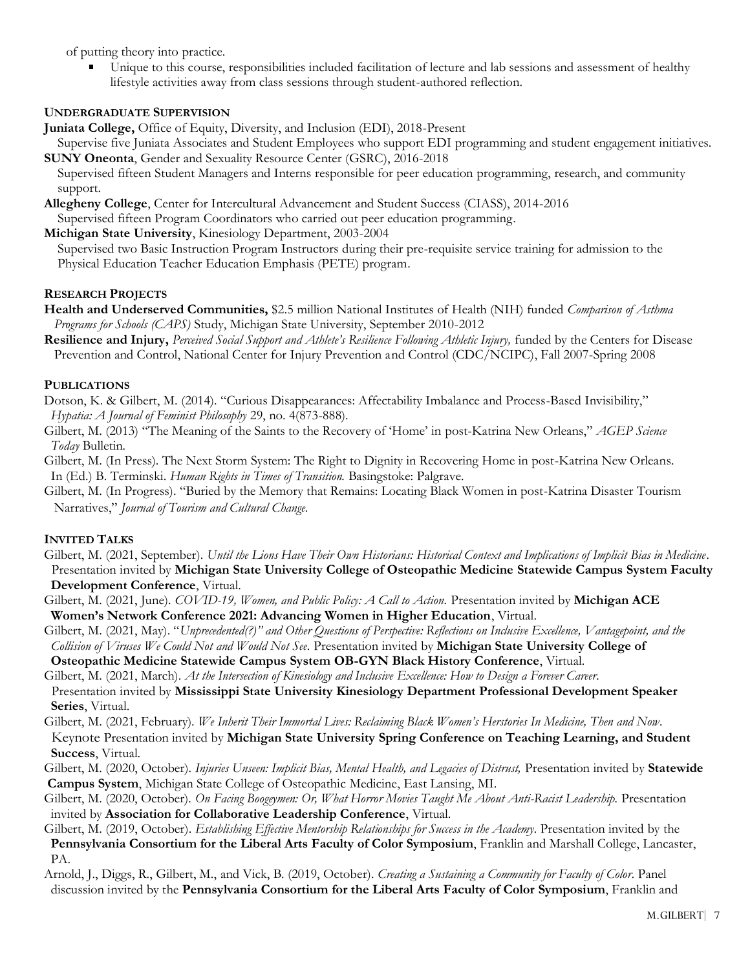of putting theory into practice.

Unique to this course, responsibilities included facilitation of lecture and lab sessions and assessment of healthy lifestyle activities away from class sessions through student-authored reflection.

## **UNDERGRADUATE SUPERVISION**

**Juniata College,** Office of Equity, Diversity, and Inclusion (EDI), 2018-Present

- Supervise five Juniata Associates and Student Employees who support EDI programming and student engagement initiatives. **SUNY Oneonta**, Gender and Sexuality Resource Center (GSRC), 2016-2018
- Supervised fifteen Student Managers and Interns responsible for peer education programming, research, and community support.
- **Allegheny College**, Center for Intercultural Advancement and Student Success (CIASS), 2014-2016

Supervised fifteen Program Coordinators who carried out peer education programming.

**Michigan State University**, Kinesiology Department, 2003-2004

Supervised two Basic Instruction Program Instructors during their pre-requisite service training for admission to the Physical Education Teacher Education Emphasis (PETE) program.

#### **RESEARCH PROJECTS**

- **Health and Underserved Communities,** \$2.5 million National Institutes of Health (NIH) funded *Comparison of Asthma Programs for Schools (CAPS)* Study, Michigan State University, September 2010-2012
- **Resilience and Injury,** *Perceived Social Support and Athlete's Resilience Following Athletic Injury,* funded by the Centers for Disease Prevention and Control, National Center for Injury Prevention and Control (CDC/NCIPC), Fall 2007-Spring 2008

#### **PUBLICATIONS**

Dotson, K. & Gilbert, M. (2014). "Curious Disappearances: Affectability Imbalance and Process-Based Invisibility," *Hypatia: A Journal of Feminist Philosophy* 29, no. 4(873-888).

- Gilbert, M. (2013) "The Meaning of the Saints to the Recovery of 'Home' in post-Katrina New Orleans," *AGEP Science Today* Bulletin*.*
- Gilbert, M. (In Press). The Next Storm System: The Right to Dignity in Recovering Home in post-Katrina New Orleans. In (Ed.) B. Terminski. *Human Rights in Times of Transition.* Basingstoke: Palgrave.
- Gilbert, M. (In Progress). "Buried by the Memory that Remains: Locating Black Women in post-Katrina Disaster Tourism Narratives," *Journal of Tourism and Cultural Change.*

#### **INVITED TALKS**

- Gilbert, M. (2021, September). *Until the Lions Have Their Own Historians: Historical Context and Implications of Implicit Bias in Medicine.* Presentation invited by **Michigan State University College of Osteopathic Medicine Statewide Campus System Faculty Development Conference**, Virtual.
- Gilbert, M. (2021, June). *COVID-19, Women, and Public Policy: A Call to Action.* Presentation invited by **Michigan ACE Women's Network Conference 2021: Advancing Women in Higher Education**, Virtual.
- Gilbert, M. (2021, May). "*Unprecedented(?)" and Other Questions of Perspective: Reflections on Inclusive Excellence, Vantagepoint, and the Collision of Viruses We Could Not and Would Not See.* Presentation invited by **Michigan State University College of**

 **Osteopathic Medicine Statewide Campus System OB-GYN Black History Conference**, Virtual.

- Gilbert, M. (2021, March). *At the Intersection of Kinesiology and Inclusive Excellence: How to Design a Forever Career.*
- Presentation invited by **Mississippi State University Kinesiology Department Professional Development Speaker Series**, Virtual.
- Gilbert, M. (2021, February). *We Inherit Their Immortal Lives: Reclaiming Black Women's Herstories In Medicine, Then and Now.* Keynote Presentation invited by **Michigan State University Spring Conference on Teaching Learning, and Student Success**, Virtual.
- Gilbert, M. (2020, October). *Injuries Unseen: Implicit Bias, Mental Health, and Legacies of Distrust,* Presentation invited by **Statewide Campus System**, Michigan State College of Osteopathic Medicine, East Lansing, MI.
- Gilbert, M. (2020, October). *On Facing Boogeymen: Or, What Horror Movies Taught Me About Anti-Racist Leadership.* Presentation invited by **Association for Collaborative Leadership Conference**, Virtual.

Gilbert, M. (2019, October). *Establishing Effective Mentorship Relationships for Success in the Academy.* Presentation invited by the  **Pennsylvania Consortium for the Liberal Arts Faculty of Color Symposium**, Franklin and Marshall College, Lancaster, PA.

Arnold, J., Diggs, R., Gilbert, M., and Vick, B. (2019, October). *Creating a Sustaining a Community for Faculty of Color.* Panel discussion invited by the **Pennsylvania Consortium for the Liberal Arts Faculty of Color Symposium**, Franklin and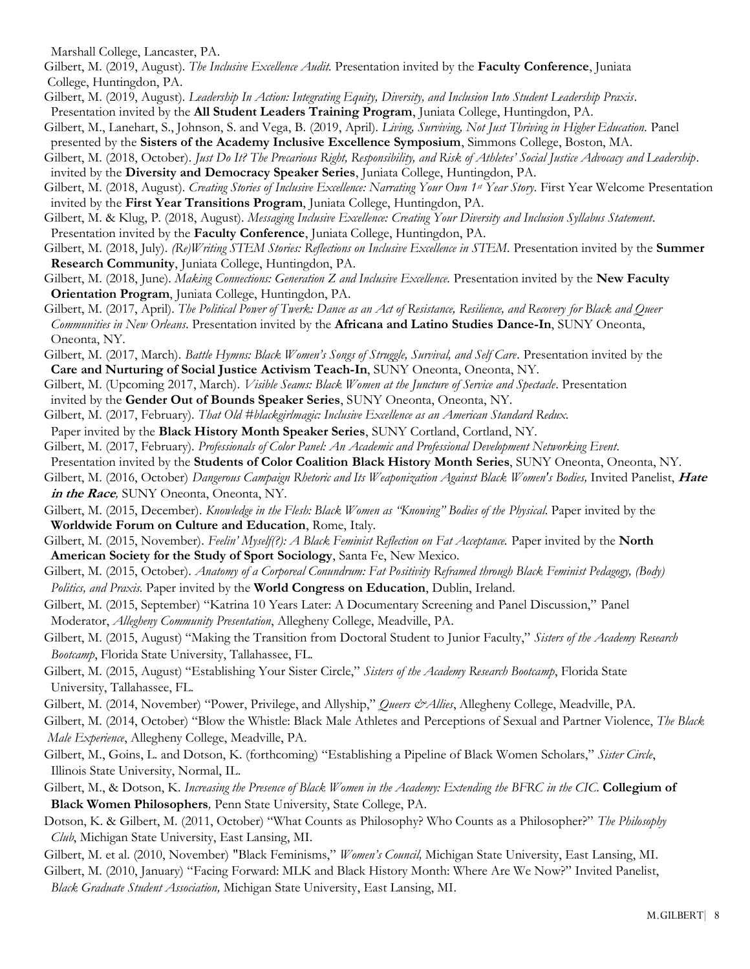Marshall College, Lancaster, PA.

- Gilbert, M. (2019, August). *The Inclusive Excellence Audit.* Presentation invited by the **Faculty Conference**, Juniata College, Huntingdon, PA.
- Gilbert, M. (2019, August). *Leadership In Action: Integrating Equity, Diversity, and Inclusion Into Student Leadership Praxis.* Presentation invited by the **All Student Leaders Training Program**, Juniata College, Huntingdon, PA.
- Gilbert, M., Lanehart, S., Johnson, S. and Vega, B. (2019, April). *Living, Surviving, Not Just Thriving in Higher Education.* Panel presented by the **Sisters of the Academy Inclusive Excellence Symposium**, Simmons College, Boston, MA.
- Gilbert, M. (2018, October). *Just Do It? The Precarious Right, Responsibility, and Risk of Athletes' Social Justice Advocacy and Leadership.* invited by the **Diversity and Democracy Speaker Series**, Juniata College, Huntingdon, PA.
- Gilbert, M. (2018, August). *Creating Stories of Inclusive Excellence: Narrating Your Own 1st Year Story.* First Year Welcome Presentation invited by the **First Year Transitions Program**, Juniata College, Huntingdon, PA.
- Gilbert, M. & Klug, P. (2018, August). *Messaging Inclusive Excellence: Creating Your Diversity and Inclusion Syllabus Statement.* Presentation invited by the **Faculty Conference**, Juniata College, Huntingdon, PA.
- Gilbert, M. (2018, July). *(Re)Writing STEM Stories: Reflections on Inclusive Excellence in STEM.* Presentation invited by the **Summer Research Community**, Juniata College, Huntingdon, PA.
- Gilbert, M. (2018, June). *Making Connections: Generation Z and Inclusive Excellence.* Presentation invited by the **New Faculty Orientation Program**, Juniata College, Huntingdon, PA.
- Gilbert, M. (2017, April). *The Political Power of Twerk: Dance as an Act of Resistance, Resilience, and Recovery for Black and Queer Communities in New Orleans.* Presentation invited by the **Africana and Latino Studies Dance-In**, SUNY Oneonta, Oneonta, NY.
- Gilbert, M. (2017, March). *Battle Hymns: Black Women's Songs of Struggle, Survival, and Self Care.* Presentation invited by the **Care and Nurturing of Social Justice Activism Teach-In**, SUNY Oneonta, Oneonta, NY.
- Gilbert, M. (Upcoming 2017, March). *Visible Seams: Black Women at the Juncture of Service and Spectacle.* Presentation invited by the **Gender Out of Bounds Speaker Series**, SUNY Oneonta, Oneonta, NY.
- Gilbert, M. (2017, February). *That Old #blackgirlmagic: Inclusive Excellence as an American Standard Redux.*
- Paper invited by the **Black History Month Speaker Series**, SUNY Cortland, Cortland, NY.
- Gilbert, M. (2017, February). *Professionals of Color Panel: An Academic and Professional Development Networking Event.*
- Presentation invited by the **Students of Color Coalition Black History Month Series**, SUNY Oneonta, Oneonta, NY.
- Gilbert, M. (2016, October) *Dangerous Campaign Rhetoric and Its Weaponization Against Black Women's Bodies,* Invited Panelist, **Hate in the Race***,* SUNY Oneonta, Oneonta, NY.
- Gilbert, M. (2015, December). *Knowledge in the Flesh: Black Women as "Knowing" Bodies of the Physical.* Paper invited by the **Worldwide Forum on Culture and Education**, Rome, Italy.
- Gilbert, M. (2015, November). *Feelin' Myself(?): A Black Feminist Reflection on Fat Acceptance.* Paper invited by the **North American Society for the Study of Sport Sociology**, Santa Fe, New Mexico.
- Gilbert, M. (2015, October). *Anatomy of a Corporeal Conundrum: Fat Positivity Reframed through Black Feminist Pedagogy, (Body) Politics, and Praxis.* Paper invited by the **World Congress on Education**, Dublin, Ireland.
- Gilbert, M. (2015, September) "Katrina 10 Years Later: A Documentary Screening and Panel Discussion," Panel Moderator, *Allegheny Community Presentation*, Allegheny College, Meadville, PA.
- Gilbert, M. (2015, August) "Making the Transition from Doctoral Student to Junior Faculty," *Sisters of the Academy Research Bootcamp*, Florida State University, Tallahassee, FL.
- Gilbert, M. (2015, August) "Establishing Your Sister Circle," *Sisters of the Academy Research Bootcamp*, Florida State University, Tallahassee, FL.
- Gilbert, M. (2014, November) "Power, Privilege, and Allyship," *Queers & Allies*, Allegheny College, Meadville, PA.
- Gilbert, M. (2014, October) "Blow the Whistle: Black Male Athletes and Perceptions of Sexual and Partner Violence, *The Black Male Experience*, Allegheny College, Meadville, PA.
- Gilbert, M., Goins, L. and Dotson, K. (forthcoming) "Establishing a Pipeline of Black Women Scholars," *Sister Circle*, Illinois State University, Normal, IL.
- Gilbert, M., & Dotson, K. *Increasing the Presence of Black Women in the Academy: Extending the BFRC in the CIC*. **Collegium of Black Women Philosophers***,* Penn State University, State College, PA.
- Dotson, K. & Gilbert, M. (2011, October) "What Counts as Philosophy? Who Counts as a Philosopher?" *The Philosophy Club*, Michigan State University, East Lansing, MI.
- Gilbert, M. et al. (2010, November) "Black Feminisms," *Women's Council,* Michigan State University, East Lansing, MI.

Gilbert, M. (2010, January) "Facing Forward: MLK and Black History Month: Where Are We Now?" Invited Panelist,  *Black Graduate Student Association,* Michigan State University, East Lansing, MI.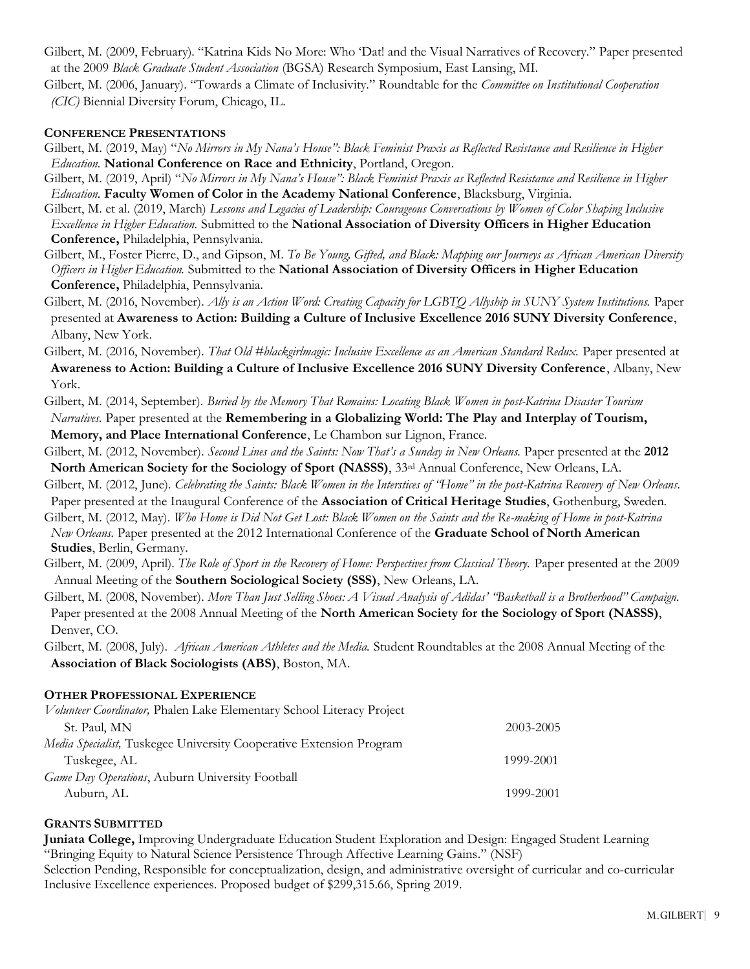Gilbert, M. (2009, February). "Katrina Kids No More: Who 'Dat! and the Visual Narratives of Recovery." Paper presented at the 2009 *Black Graduate Student Association* (BGSA) Research Symposium, East Lansing, MI.

Gilbert, M. (2006, January). "Towards a Climate of Inclusivity." Roundtable for the *Committee on Institutional Cooperation (CIC)* Biennial Diversity Forum, Chicago, IL.

#### **CONFERENCE PRESENTATIONS**

- Gilbert, M. (2019, May) "*No Mirrors in My Nana's House": Black Feminist Praxis as Reflected Resistance and Resilience in Higher Education.* **National Conference on Race and Ethnicity**, Portland, Oregon.
- Gilbert, M. (2019, April) "*No Mirrors in My Nana's House": Black Feminist Praxis as Reflected Resistance and Resilience in Higher Education.* **Faculty Women of Color in the Academy National Conference**, Blacksburg, Virginia.

Gilbert, M. et al. (2019, March) *Lessons and Legacies of Leadership: Courageous Conversations by Women of Color Shaping Inclusive Excellence in Higher Education.* Submitted to the **National Association of Diversity Officers in Higher Education Conference,** Philadelphia, Pennsylvania.

Gilbert, M., Foster Pierre, D., and Gipson, M. *To Be Young, Gifted, and Black: Mapping our Journeys as African American Diversity Officers in Higher Education.* Submitted to the **National Association of Diversity Officers in Higher Education Conference,** Philadelphia, Pennsylvania.

Gilbert, M. (2016, November). *Ally is an Action Word: Creating Capacity for LGBTQ Allyship in SUNY System Institutions.* Paper presented at **Awareness to Action: Building a Culture of Inclusive Excellence 2016 SUNY Diversity Conference**, Albany, New York.

Gilbert, M. (2016, November). *That Old #blackgirlmagic: Inclusive Excellence as an American Standard Redux.* Paper presented at **Awareness to Action: Building a Culture of Inclusive Excellence 2016 SUNY Diversity Conference**, Albany, New York.

Gilbert, M. (2014, September). *Buried by the Memory That Remains: Locating Black Women in post-Katrina Disaster Tourism Narratives.* Paper presented at the **Remembering in a Globalizing World: The Play and Interplay of Tourism,**

 **Memory, and Place International Conference**, Le Chambon sur Lignon, France.

Gilbert, M. (2012, November). *Second Lines and the Saints: Now That's a Sunday in New Orleans.* Paper presented at the **2012 North American Society for the Sociology of Sport (NASSS)**, 33rd Annual Conference, New Orleans, LA.

- Gilbert, M. (2012, June). *Celebrating the Saints: Black Women in the Interstices of "Home" in the post-Katrina Recovery of New Orleans.*
- Paper presented at the Inaugural Conference of the **Association of Critical Heritage Studies**, Gothenburg, Sweden.

Gilbert, M. (2012, May). *Who Home is Did Not Get Lost: Black Women on the Saints and the Re-making of Home in post-Katrina New Orleans.* Paper presented at the 2012 International Conference of the **Graduate School of North American Studies**, Berlin, Germany.

Gilbert, M. (2009, April). *The Role of Sport in the Recovery of Home: Perspectives from Classical Theory.* Paper presented at the 2009 Annual Meeting of the **Southern Sociological Society (SSS)**, New Orleans, LA.

Gilbert, M. (2008, November). *More Than Just Selling Shoes: A Visual Analysis of Adidas' "Basketball is a Brotherhood" Campaign.* Paper presented at the 2008 Annual Meeting of the **North American Society for the Sociology of Sport (NASSS)**, Denver, CO.

Gilbert, M. (2008, July). *African American Athletes and the Media.* Student Roundtables at the 2008 Annual Meeting of the **Association of Black Sociologists (ABS)**, Boston, MA.

#### **OTHER PROFESSIONAL EXPERIENCE**

| Volunteer Coordinator, Phalen Lake Elementary School Literacy Project |           |
|-----------------------------------------------------------------------|-----------|
| St. Paul, MN                                                          | 2003-2005 |
| Media Specialist, Tuskegee University Cooperative Extension Program   |           |
| Tuskegee, AL                                                          | 1999-2001 |
| Game Day Operations, Auburn University Football                       |           |
| Auburn, AL                                                            | 1999-2001 |

#### **GRANTS SUBMITTED**

**Juniata College,** Improving Undergraduate Education Student Exploration and Design: Engaged Student Learning "Bringing Equity to Natural Science Persistence Through Affective Learning Gains." (NSF)

Selection Pending, Responsible for conceptualization, design, and administrative oversight of curricular and co-curricular Inclusive Excellence experiences. Proposed budget of \$299,315.66, Spring 2019.